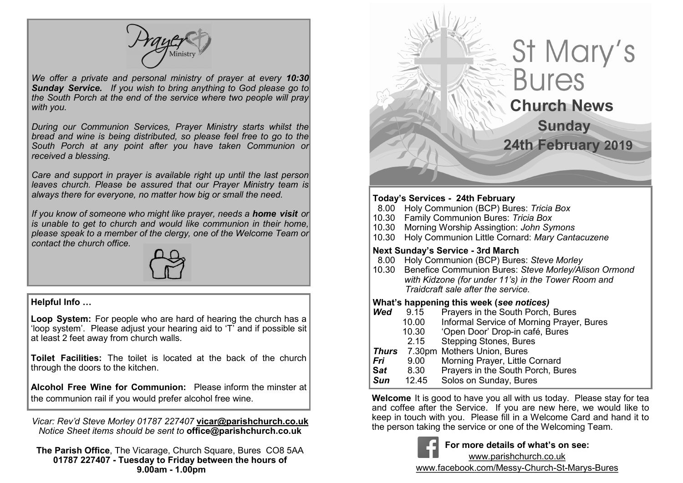*We offer a private and personal ministry of prayer at every 10:30 Sunday Service. If you wish to bring anything to God please go to the South Porch at the end of the service where two people will pray with you.*

*During our Communion Services, Prayer Ministry starts whilst the bread and wine is being distributed, so please feel free to go to the South Porch at any point after you have taken Communion or received a blessing.*

*Care and support in prayer is available right up until the last person leaves church. Please be assured that our Prayer Ministry team is always there for everyone, no matter how big or small the need.* 

*If you know of someone who might like prayer, needs a home visit or is unable to get to church and would like communion in their home, please speak to a member of the clergy, one of the Welcome Team or contact the church office.*



#### **Helpful Info …**

**Loop System:** For people who are hard of hearing the church has a 'loop system'. Please adjust your hearing aid to 'T' and if possible sit at least 2 feet away from church walls.

**Toilet Facilities:** The toilet is located at the back of the church through the doors to the kitchen.

**Alcohol Free Wine for Communion:** Please inform the minster at the communion rail if you would prefer alcohol free wine.

*Vicar: Rev'd Steve Morley 01787 227407* **vicar@parishchurch.co.uk** *Notice Sheet items should be sent to* **office@parishchurch.co.uk**

**The Parish Office**, The Vicarage, Church Square, Bures CO8 5AA **01787 227407 - Tuesday to Friday between the hours of 9.00am - 1.00pm**

# St Mary's **Bures Church News Sunday 24th February 2019**

#### $\overline{\phantom{a}}$ **Today's Services - 24th February**

- 8.00 Holy Communion (BCP) Bures: *Tricia Box*
- 10.30 Family Communion Bures: *Tricia Box*
- 10.30 Morning Worship Assingtion: *John Symons*
- 10.30 Holy Communion Little Cornard: *Mary Cantacuzene*

### **Next Sunday's Service - 3rd March**

- 8.00 Holy Communion (BCP) Bures: *Steve Morley*
- 10.30 Benefice Communion Bures: *Steve Morley/Alison Ormond with Kidzone (for under 11's) in the Tower Room and Traidcraft sale after the service.*

#### **What's happening this week (***see notices)*

- **Wed** 9.15 Prayers in the South Porch, Bures
	- 10.00 Informal Service of Morning Prayer, Bures
	- 10.30 'Open Door' Drop-in café, Bures
	- Stepping Stones, Bures
- *Thurs* 7.30pm Mothers Union, Bures
- *Fri* 9.00 Morning Prayer, Little Cornard
- **S***at* 8.30 Prayers in the South Porch, Bures
- **Sun** 12.45 Solos on Sunday, Bures

**Welcome** It is good to have you all with us today. Please stay for tea and coffee after the Service. If you are new here, we would like to keep in touch with you. Please fill in a Welcome Card and hand it to the person taking the service or one of the Welcoming Team.



**For more details of what's on see:**

www.parishchurch.co.uk

www.facebook.com/Messy-Church-St-Marys-Bures